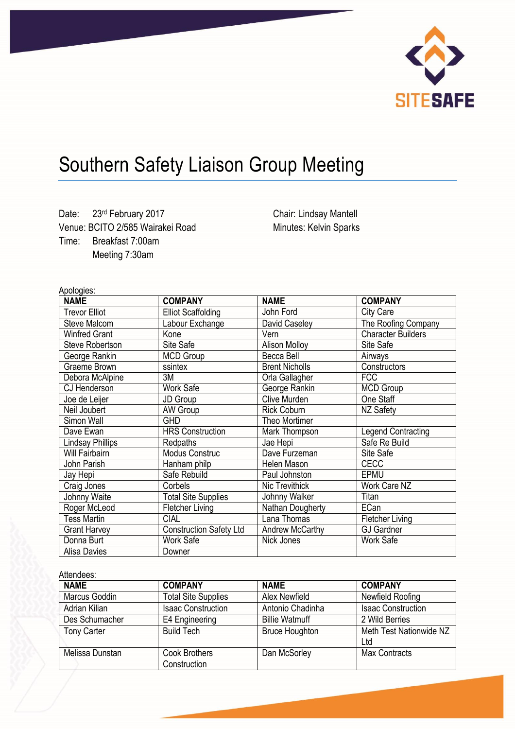

# Southern Safety Liaison Group Meeting

Date: 23rd February 2017 Venue: BCITO 2/585 Wairakei Road Time: Breakfast 7:00am Meeting 7:30am

Chair: Lindsay Mantell Minutes: Kelvin Sparks

Apologies:

| npuluyita.              |                                |                       |                           |
|-------------------------|--------------------------------|-----------------------|---------------------------|
| <b>NAME</b>             | <b>COMPANY</b>                 | <b>NAME</b>           | <b>COMPANY</b>            |
| <b>Trevor Elliot</b>    | <b>Elliot Scaffolding</b>      | John Ford             | City Care                 |
| Steve Malcom            | Labour Exchange                | David Caseley         | The Roofing Company       |
| <b>Winfred Grant</b>    | Kone                           | Vern                  | <b>Character Builders</b> |
| <b>Steve Robertson</b>  | Site Safe                      | <b>Alison Molloy</b>  | Site Safe                 |
| George Rankin           | <b>MCD Group</b>               | Becca Bell            | Airways                   |
| Graeme Brown            | ssintex                        | <b>Brent Nicholls</b> | Constructors              |
| Debora McAlpine         | 3M                             | Orla Gallagher        | <b>FCC</b>                |
| CJ Henderson            | <b>Work Safe</b>               | George Rankin         | <b>MCD Group</b>          |
| Joe de Leijer           | JD Group                       | Clive Murden          | One Staff                 |
| Neil Joubert            | AW Group                       | <b>Rick Coburn</b>    | NZ Safety                 |
| Simon Wall              | <b>GHD</b>                     | Theo Mortimer         |                           |
| Dave Ewan               | <b>HRS Construction</b>        | Mark Thompson         | <b>Legend Contracting</b> |
| <b>Lindsay Phillips</b> | Redpaths                       | Jae Hepi              | Safe Re Build             |
| Will Fairbairn          | <b>Modus Construc</b>          | Dave Furzeman         | Site Safe                 |
| John Parish             | Hanham philp                   | Helen Mason           | <b>CECC</b>               |
| Jay Hepi                | Safe Rebuild                   | Paul Johnston         | EPMU                      |
| Craig Jones             | Corbels                        | Nic Trevithick        | Work Care NZ              |
| Johnny Waite            | <b>Total Site Supplies</b>     | Johnny Walker         | Titan                     |
| Roger McLeod            | Fletcher Living                | Nathan Dougherty      | ECan                      |
| <b>Tess Martin</b>      | <b>CIAL</b>                    | Lana Thomas           | <b>Fletcher Living</b>    |
| <b>Grant Harvey</b>     | <b>Construction Safety Ltd</b> | Andrew McCarthy       | <b>GJ Gardner</b>         |
| Donna Burt              | <b>Work Safe</b>               | Nick Jones            | Work Safe                 |
| <b>Alisa Davies</b>     | Downer                         |                       |                           |

Attendees:

| <b>NAME</b>        | <b>COMPANY</b>             | <b>NAME</b>           | <b>COMPANY</b>            |  |
|--------------------|----------------------------|-----------------------|---------------------------|--|
| Marcus Goddin      | <b>Total Site Supplies</b> | Alex Newfield         | Newfield Roofing          |  |
| Adrian Kilian      | <b>Isaac Construction</b>  | Antonio Chadinha      | <b>Isaac Construction</b> |  |
| Des Schumacher     | E4 Engineering             | <b>Billie Watmuff</b> | 2 Wild Berries            |  |
| <b>Tony Carter</b> | <b>Build Tech</b>          | <b>Bruce Houghton</b> | Meth Test Nationwide NZ   |  |
|                    |                            |                       | Ltd                       |  |
| Melissa Dunstan    | <b>Cook Brothers</b>       | Dan McSorley          | <b>Max Contracts</b>      |  |
|                    | Construction               |                       |                           |  |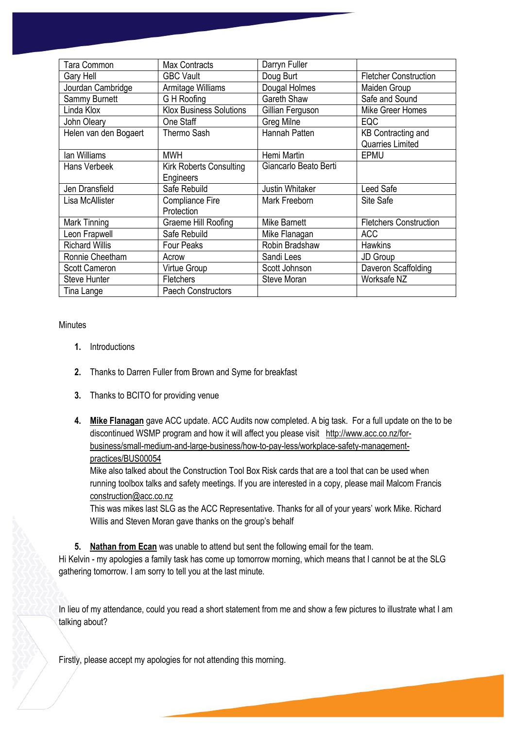| Tara Common           | <b>Max Contracts</b>           | Darryn Fuller          |                               |
|-----------------------|--------------------------------|------------------------|-------------------------------|
| Gary Hell             | <b>GBC Vault</b>               | Doug Burt              | <b>Fletcher Construction</b>  |
| Jourdan Cambridge     | Armitage Williams              | Dougal Holmes          | Maiden Group                  |
| Sammy Burnett         | G H Roofing                    | Gareth Shaw            | Safe and Sound                |
| Linda Klox            | <b>Klox Business Solutions</b> | Gillian Ferguson       | Mike Greer Homes              |
| John Oleary           | One Staff                      | Greg Milne             | EQC                           |
| Helen van den Bogaert | <b>Thermo Sash</b>             | Hannah Patten          | <b>KB Contracting and</b>     |
|                       |                                |                        | Quarries Limited              |
| lan Williams          | <b>MWH</b>                     | Hemi Martin            | EPMU                          |
| Hans Verbeek          | <b>Kirk Roberts Consulting</b> | Giancarlo Beato Berti  |                               |
|                       | Engineers                      |                        |                               |
| Jen Dransfield        | Safe Rebuild                   | <b>Justin Whitaker</b> | Leed Safe                     |
| Lisa McAllister       | Compliance Fire                | Mark Freeborn          | Site Safe                     |
|                       | Protection                     |                        |                               |
| Mark Tinning          | Graeme Hill Roofing            | Mike Barnett           | <b>Fletchers Construction</b> |
| Leon Frapwell         | Safe Rebuild                   | Mike Flanagan          | <b>ACC</b>                    |
| <b>Richard Willis</b> | Four Peaks                     | Robin Bradshaw         | <b>Hawkins</b>                |
| Ronnie Cheetham       | Acrow                          | Sandi Lees             | JD Group                      |
| <b>Scott Cameron</b>  | Virtue Group                   | Scott Johnson          | Daveron Scaffolding           |
| <b>Steve Hunter</b>   | Fletchers                      | Steve Moran            | Worksafe NZ                   |
| Tina Lange            | <b>Paech Constructors</b>      |                        |                               |

#### **Minutes**

- **1.** Introductions
- **2.** Thanks to Darren Fuller from Brown and Syme for breakfast
- **3.** Thanks to BCITO for providing venue
- **4. Mike Flanagan** gave ACC update. ACC Audits now completed. A big task. For a full update on the to be discontinued WSMP program and how it will affect you please visit [http://www.acc.co.nz/for](http://www.acc.co.nz/for-business/small-medium-and-large-business/how-to-pay-less/workplace-safety-management-practices/BUS00054)[business/small-medium-and-large-business/how-to-pay-less/workplace-safety-management](http://www.acc.co.nz/for-business/small-medium-and-large-business/how-to-pay-less/workplace-safety-management-practices/BUS00054)[practices/BUS00054](http://www.acc.co.nz/for-business/small-medium-and-large-business/how-to-pay-less/workplace-safety-management-practices/BUS00054)

Mike also talked about the Construction Tool Box Risk cards that are a tool that can be used when running toolbox talks and safety meetings. If you are interested in a copy, please mail Malcom Francis [construction@acc.co.nz](mailto:construction@acc.co.nz) 

This was mikes last SLG as the ACC Representative. Thanks for all of your years' work Mike. Richard Willis and Steven Moran gave thanks on the group's behalf

**5. Nathan from Ecan** was unable to attend but sent the following email for the team.

Hi Kelvin - my apologies a family task has come up tomorrow morning, which means that I cannot be at the SLG gathering tomorrow. I am sorry to tell you at the last minute.

In lieu of my attendance, could you read a short statement from me and show a few pictures to illustrate what I am talking about?

Firstly, please accept my apologies for not attending this morning.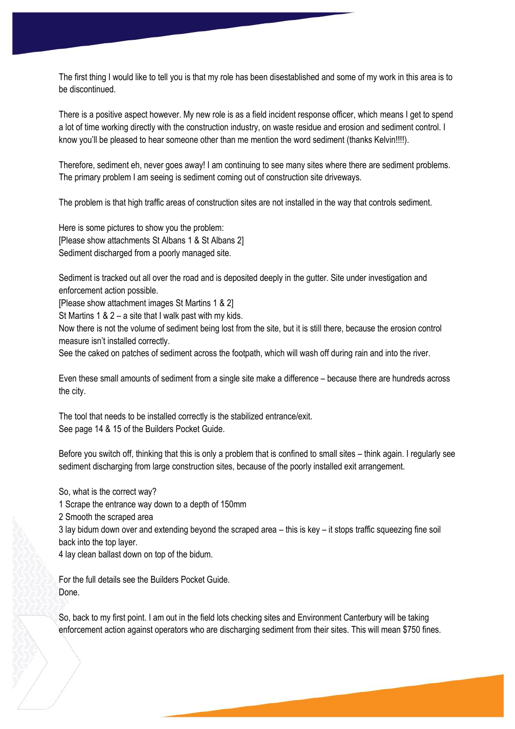The first thing I would like to tell you is that my role has been disestablished and some of my work in this area is to be discontinued.

There is a positive aspect however. My new role is as a field incident response officer, which means I get to spend a lot of time working directly with the construction industry, on waste residue and erosion and sediment control. I know you'll be pleased to hear someone other than me mention the word sediment (thanks Kelvin!!!!).

Therefore, sediment eh, never goes away! I am continuing to see many sites where there are sediment problems. The primary problem I am seeing is sediment coming out of construction site driveways.

The problem is that high traffic areas of construction sites are not installed in the way that controls sediment.

Here is some pictures to show you the problem: [Please show attachments St Albans 1 & St Albans 2] Sediment discharged from a poorly managed site.

Sediment is tracked out all over the road and is deposited deeply in the gutter. Site under investigation and enforcement action possible.

[Please show attachment images St Martins 1 & 2]

St Martins 1 & 2 – a site that I walk past with my kids.

Now there is not the volume of sediment being lost from the site, but it is still there, because the erosion control measure isn't installed correctly.

See the caked on patches of sediment across the footpath, which will wash off during rain and into the river.

Even these small amounts of sediment from a single site make a difference – because there are hundreds across the city.

The tool that needs to be installed correctly is the stabilized entrance/exit. See page 14 & 15 of the Builders Pocket Guide.

Before you switch off, thinking that this is only a problem that is confined to small sites – think again. I regularly see sediment discharging from large construction sites, because of the poorly installed exit arrangement.

So, what is the correct way?

1 Scrape the entrance way down to a depth of 150mm

2 Smooth the scraped area

3 lay bidum down over and extending beyond the scraped area – this is key – it stops traffic squeezing fine soil back into the top layer.

4 lay clean ballast down on top of the bidum.

For the full details see the Builders Pocket Guide. Done.

So, back to my first point. I am out in the field lots checking sites and Environment Canterbury will be taking enforcement action against operators who are discharging sediment from their sites. This will mean \$750 fines.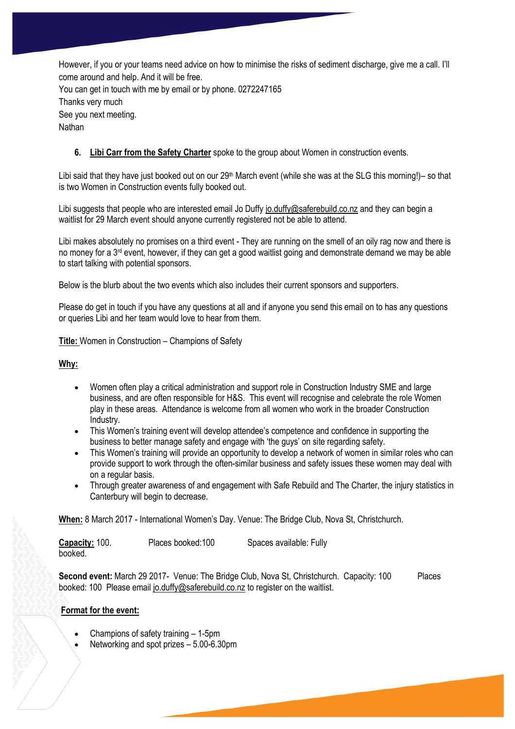However, if you or your teams need advice on how to minimise the risks of sediment discharge, give me a call. I'll come around and help. And it will be free. You can get in touch with me by email or by phone. 0272247165 Thanks very much

See you next meeting.

**Nathan** 

## **6. Libi Carr from the Safety Charter** spoke to the group about Women in construction events.

Libi said that they have just booked out on our 29<sup>th</sup> March event (while she was at the SLG this morning!)– so that is two Women in Construction events fully booked out.

Libi suggests that people who are interested email Jo Duff[y jo.duffy@saferebuild.co.nz](mailto:jo.duffy@saferebuild.co.nz) and they can begin a waitlist for 29 March event should anyone currently registered not be able to attend.

Libi makes absolutely no promises on a third event - They are running on the smell of an oily rag now and there is no money for a  $3<sup>rd</sup>$  event, however, if they can get a good waitlist going and demonstrate demand we may be able to start talking with potential sponsors.

Below is the blurb about the two events which also includes their current sponsors and supporters.

Please do get in touch if you have any questions at all and if anyone you send this email on to has any questions or queries Libi and her team would love to hear from them.

**Title:** Women in Construction – Champions of Safety

## **Why:**

- Women often play a critical administration and support role in Construction Industry SME and large business, and are often responsible for H&S. This event will recognise and celebrate the role Women play in these areas. Attendance is welcome from all women who work in the broader Construction Industry.
- This Women's training event will develop attendee's competence and confidence in supporting the business to better manage safety and engage with 'the guys' on site regarding safety.
- This Women's training will provide an opportunity to develop a network of women in similar roles who can provide support to work through the often-similar business and safety issues these women may deal with on a regular basis.
- Through greater awareness of and engagement with Safe Rebuild and The Charter, the injury statistics in Canterbury will begin to decrease.

**When:** 8 March 2017 - International Women's Day. Venue: The Bridge Club, Nova St, Christchurch.

| Capacity: 100. | Places booked:100 | Spaces available: Fully |
|----------------|-------------------|-------------------------|
| booked.        |                   |                         |

**Second event:** March 29 2017- Venue: The Bridge Club, Nova St, Christchurch. Capacity: 100 Places booked: 100 Please email [jo.duffy@saferebuild.co.nz](mailto:jo.duffy@saferebuild.co.nz) to register on the waitlist.

## **Format for the event:**

- Champions of safety training 1-5pm
- Networking and spot prizes 5.00-6.30pm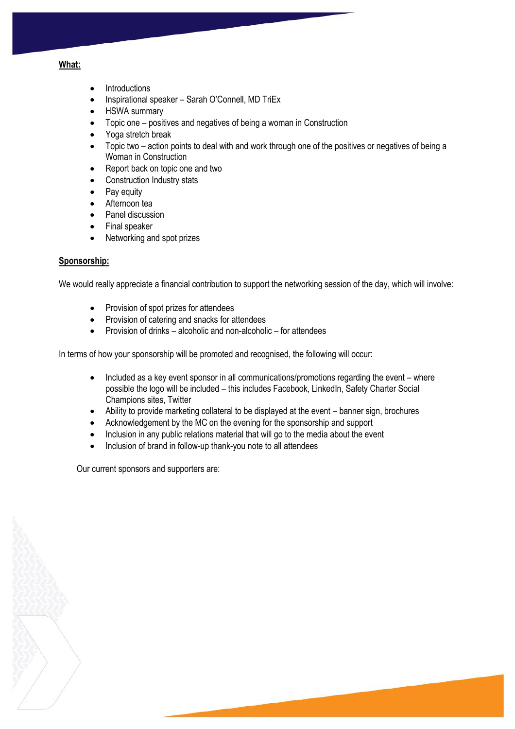#### **What:**

- Introductions
- Inspirational speaker Sarah O'Connell, MD TriEx
- HSWA summary
- Topic one positives and negatives of being a woman in Construction
- Yoga stretch break
- Topic two action points to deal with and work through one of the positives or negatives of being a Woman in Construction
- Report back on topic one and two
- Construction Industry stats
- Pay equity
- Afternoon tea
- Panel discussion
- Final speaker
- Networking and spot prizes

### **Sponsorship:**

We would really appreciate a financial contribution to support the networking session of the day, which will involve:

- Provision of spot prizes for attendees
- Provision of catering and snacks for attendees
- Provision of drinks alcoholic and non-alcoholic for attendees

In terms of how your sponsorship will be promoted and recognised, the following will occur:

- Included as a key event sponsor in all communications/promotions regarding the event where possible the logo will be included – this includes Facebook, LinkedIn, Safety Charter Social Champions sites, Twitter
- Ability to provide marketing collateral to be displayed at the event banner sign, brochures
- Acknowledgement by the MC on the evening for the sponsorship and support
- Inclusion in any public relations material that will go to the media about the event
- Inclusion of brand in follow-up thank-you note to all attendees

Our current sponsors and supporters are: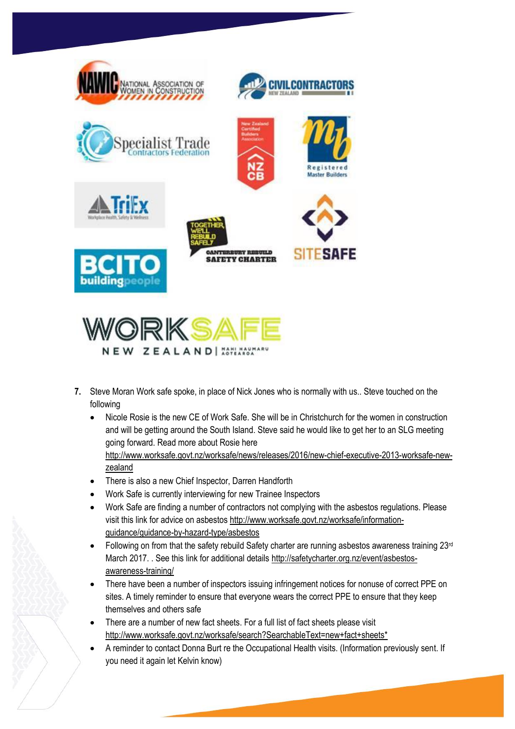

- **7.** Steve Moran Work safe spoke, in place of Nick Jones who is normally with us.. Steve touched on the following
	- Nicole Rosie is the new CE of Work Safe. She will be in Christchurch for the women in construction and will be getting around the South Island. Steve said he would like to get her to an SLG meeting going forward. Read more about Rosie here [http://www.worksafe.govt.nz/worksafe/news/releases/2016/new-chief-executive-2013-worksafe-new-](http://www.worksafe.govt.nz/worksafe/news/releases/2016/new-chief-executive-2013-worksafe-new-zealand)
	- [zealand](http://www.worksafe.govt.nz/worksafe/news/releases/2016/new-chief-executive-2013-worksafe-new-zealand) There is also a new Chief Inspector, Darren Handforth

**NEW ZEALAND | XSTLXSSI** 

- Work Safe is currently interviewing for new Trainee Inspectors
- Work Safe are finding a number of contractors not complying with the asbestos regulations. Please visit this link for advice on asbesto[s http://www.worksafe.govt.nz/worksafe/information](http://www.worksafe.govt.nz/worksafe/information-guidance/guidance-by-hazard-type/asbestos)[guidance/guidance-by-hazard-type/asbestos](http://www.worksafe.govt.nz/worksafe/information-guidance/guidance-by-hazard-type/asbestos)
- Following on from that the safety rebuild Safety charter are running asbestos awareness training 23<sup>rd</sup> March 2017. . See this link for additional detail[s http://safetycharter.org.nz/event/asbestos](http://safetycharter.org.nz/event/asbestos-awareness-training/)[awareness-training/](http://safetycharter.org.nz/event/asbestos-awareness-training/)
- There have been a number of inspectors issuing infringement notices for nonuse of correct PPE on sites. A timely reminder to ensure that everyone wears the correct PPE to ensure that they keep themselves and others safe
- There are a number of new fact sheets. For a full list of fact sheets please visit http://www.worksafe.govt.nz/worksafe/search?SearchableText=new+fact+sheets\*
- A reminder to contact Donna Burt re the Occupational Health visits. (Information previously sent. If you need it again let Kelvin know)